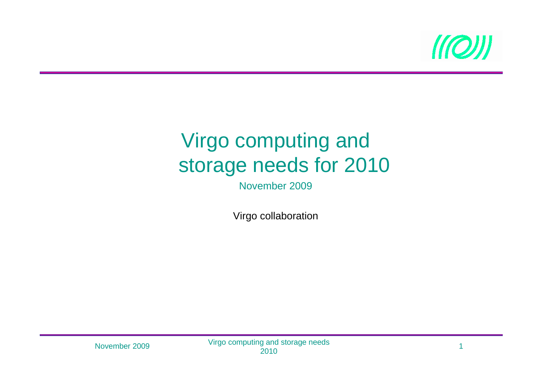

#### Virgo computing and storage needs for 2010

November 2009

Virgo collaboration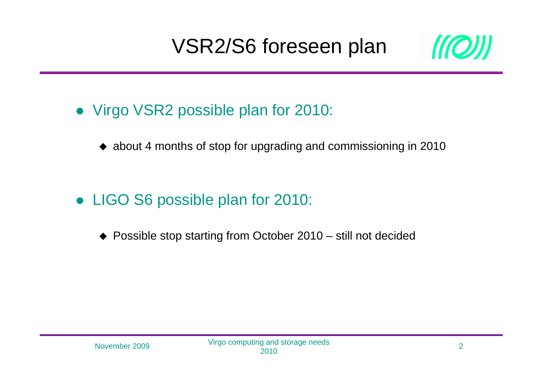# VSR2/S6 foreseen plan



- Virgo VSR2 possible plan for 2010:
	- ◆ about 4 months of stop for upgrading and commissioning in 2010
- LIGO S6 possible plan for 2010:
	- ◆ Possible stop starting from October 2010 still not decided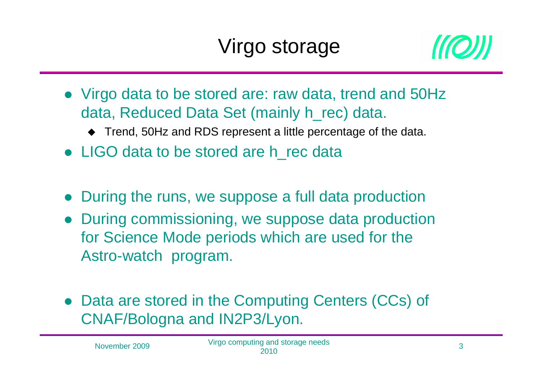

- Virgo data to be stored are: raw data, trend and 50Hz data, Reduced Data Set (mainly h\_rec) data.
	- ◆ Trend, 50Hz and RDS represent a little percentage of the data.
- LIGO data to be stored are h\_rec data
- $\bullet$ During the runs, we suppose a full data production
- $\bullet$  During commissioning, we suppose data production for Science Mode periods which are used for the Astro-watch program.
- $\bullet$  Data are stored in the Computing Centers (CCs) of CNAF/Bologna and IN2P3/Lyon.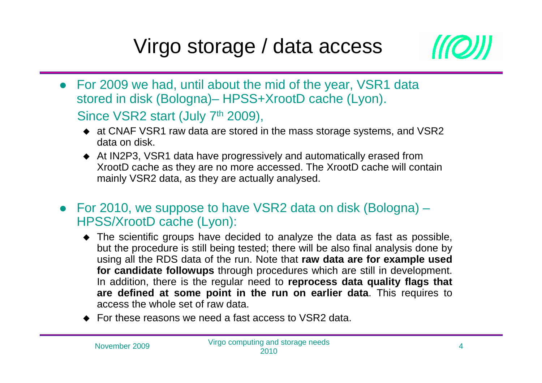### Virgo storage / data access



- For 2009 we had, until about the mid of the year, VSR1 data stored in disk (Bologna)– HPSS+XrootD cache (Lyon). Since VSR2 start (July 7<sup>th</sup> 2009),
	- at CNAF VSR1 raw data are stored in the mass storage systems, and VSR2 data on disk.
	- ◆ At IN2P3, VSR1 data have progressively and automatically erased from<br>Need Deashe as they are no more accessed. The YreatDeashe will con XrootD cache as they are no more accessed. The XrootD cache will contain mainly VSR2 data, as they are actually analysed.
- For 2010, we suppose to have VSR2 data on disk (Bologna) HPSS/XrootD cache (Lyon):
	- The scientific groups have decided to analyze the data as fast as possible,<br>but the precedure is still being tected; there will be also final englysis dans by but the procedure is still being tested; there will be also final analysis done by using all the RDS data of the run. Note that **raw data are for example used for candidate followups** through procedures which are still in development. In addition, there is the regular need to **reprocess data quality flags that are defined at some point in the run on earlier data**. This requires to access the whole set of raw data.
	- ◆ For these reasons we need a fast access to VSR2 data.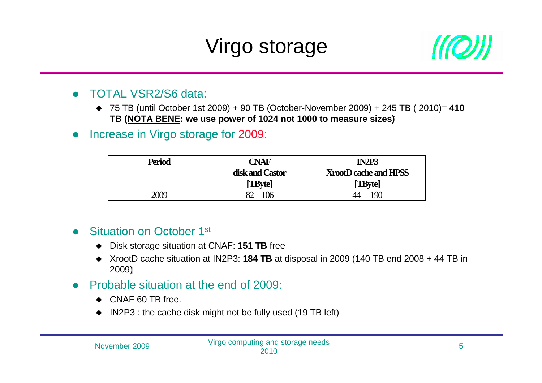# Virgo storage



#### $\bullet$ TOTAL VSR2/S6 data:

- 75 TB (until October 1st 2009) + 90 TB (October-November 2009) + 245 TB ( 2010)= **<sup>410</sup> TB (NOTA BENE: we use power of 1024 not 1000 to measure sizes)**
- $\bullet$ Increase in Virgo storage for 2009:

| <b>Period</b> | CNAF            | IN <sub>2</sub> P <sub>3</sub> |
|---------------|-----------------|--------------------------------|
|               | disk and Castor | <b>XrootD cache and HPSS</b>   |
|               | <b>TBvtel</b>   | <b>TBytel</b>                  |
| 2009          |                 | 19 <sub>0</sub>                |

#### $\bullet$ Situation on October 1<sup>st</sup>

- ◆ Disk storage situation at CNAF: **151 TB** free
- ◆ XrootD cache situation at IN2P3: **184 TB** at disposal in 2009 (140 TB end 2008 + 44 TB in 2009)
- $\bullet$  Probable situation at the end of 2009:
	- ◆ CNAF 60 TB free.
	- $\blacklozenge$  IN2P3 : the cache disk might not be fully used (19 TB left)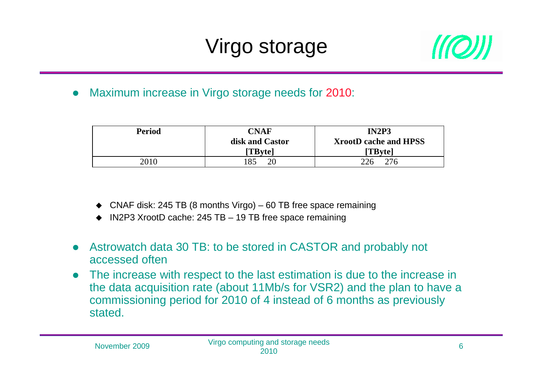

 $\bullet$ Maximum increase in Virgo storage needs for 2010:

| <b>Period</b> | <b>CNAF</b>                      | <b>IN2P3</b>                            |
|---------------|----------------------------------|-----------------------------------------|
|               | disk and Castor<br><b>TBytel</b> | <b>XrootD cache and HPSS</b><br>[TByte] |
| 2010          | 85<br>20                         | 226<br>276                              |

- ◆ CNAF disk: 245 TB (8 months Virgo) 60 TB free space remaining
- ◆ IN2P3 XrootD cache: 245 TB 19 TB free space remaining
- $\bullet$  Astrowatch data 30 TB: to be stored in CASTOR and probably not accessed often
- The increase with respect to the last estimation is due to the increase in  $\bullet$ the data acquisition rate (about 11Mb/s for VSR2) and the plan to have a commissioning period for 2010 of 4 instead of 6 months as previously stated.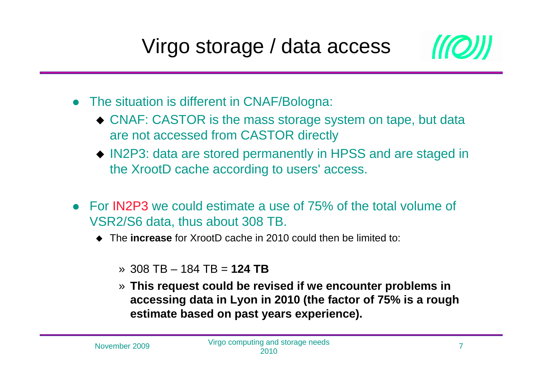

- The situation is different in CNAF/Bologna:
	- CNAF: CASTOR is the mass storage system on tape, but data are not accessed from CASTOR directly
	- IN2P3: data are stored permanently in HPSS and are staged in the XrootD cache according to users' access.
- For IN2P3 we could estimate a use of 75% of the total volume of VSR2/S6 data, thus about 308 TB.
	- ◆ The **increase** for XrootD cache in 2010 could then be limited to:
		- » 308 TB 184 TB = **124 TB**
		- » **This request could be revised if we encounter problems in accessing data in Lyon in 2010 (the factor of 75% is a rough estimate based on past years experience).**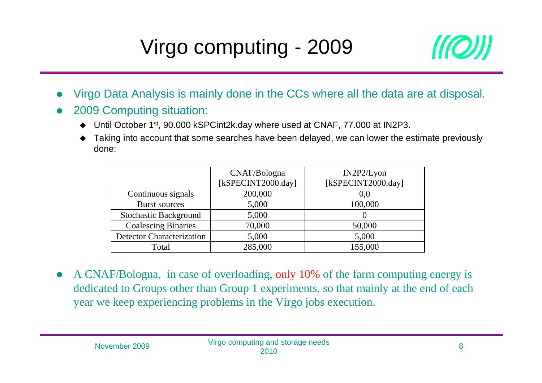

- $\bullet$ Virgo Data Analysis is mainly done in the CCs where all the data are at disposal.
- 0 2009 Computing situation:
	- ◆ Until October 1<sup>st</sup>, 90.000 kSPCint2k.day where used at CNAF, 77.000 at IN2P3.
	- ◆ Taking into account that some searches have been delayed, we can lower the estimate previously<br>denotes done:

|                                  | CNAF/Bologna       | IN2P2/Lyon         |
|----------------------------------|--------------------|--------------------|
|                                  | [kSPECINT2000.day] | [kSPECINT2000.day] |
| Continuous signals               | 200,000            | 0,0                |
| <b>Burst sources</b>             | 5,000              | 100,000            |
| <b>Stochastic Background</b>     | 5,000              |                    |
| <b>Coalescing Binaries</b>       | 70,000             | 50,000             |
| <b>Detector Characterization</b> | 5,000              | 5,000              |
| Total                            | 285,000            | 155,000            |

 $\bullet$ • A CNAF/Bologna, in case of overloading, only 10% of the farm computing energy is<br>dedicated to Groups other than Group 1 experiments, so that mainly at the end of seeh dedicated to Groups other than Group 1 experiments, so that mainly at the end of each year we keep experiencing problems in the Virgo jobs execution.